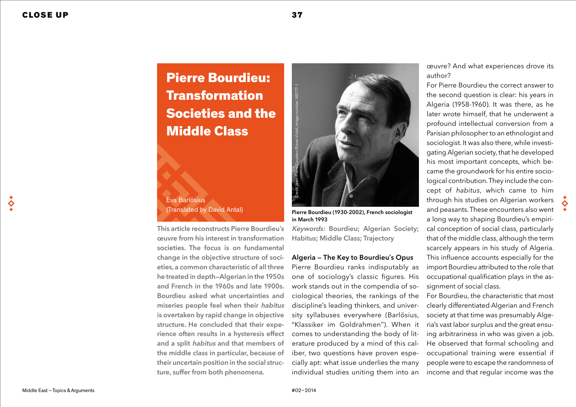# Pierre Bourdieu: Transformation Societies and the Middle Class

# Eva Barlösius (Translated by David Antal)

This article reconstructs Pierre Bourdieu's œuvre from his interest in transformation societies. The focus is on fundamental change in the objective structure of societies, a common characteristic of all three he treated in depth—Algerian in the 1950s and French in the 1960s and late 1900s. Bourdieu asked what uncertainties and miseries people feel when their habitus is overtaken by rapid change in objective structure. He concluded that their experience often results in a hysteresis effect and a split habitus and that members of the middle class in particular, because of their uncertain position in the social structure, suffer from both phenomena.



Pierre Bourdieu (1930-2002), French sociologist in March 1993

Keywords: Bourdieu; Algerian Society; Habitus; Middle Class; Trajectory

## Algeria — The Key to Bourdieu's Opus

Pierre Bourdieu ranks indisputably as one of sociology's classic figures. His work stands out in the compendia of sociological theories, the rankings of the discipline's leading thinkers, and university syllabuses everywhere (Barlösius, "Klassiker im Goldrahmen"). When it comes to understanding the body of literature produced by a mind of this caliber, two questions have proven especially apt: what issue underlies the many individual studies uniting them into an œuvre? And what experiences drove its author?

For Pierre Bourdieu the correct answer to the second question is clear: his years in Algeria (1958-1960). It was there, as he later wrote himself, that he underwent a profound intellectual conversion from a Parisian philosopher to an ethnologist and sociologist. It was also there, while investigating Algerian society, that he developed his most important concepts, which became the groundwork for his entire sociological contribution. They include the concept of *habitus*, which came to him through his studies on Algerian workers and peasants. These encounters also went a long way to shaping Bourdieu's empirical conception of social class, particularly that of the middle class, although the term scarcely appears in his study of Algeria. This influence accounts especially for the import Bourdieu attributed to the role that occupational qualification plays in the assignment of social class.

For Bourdieu, the characteristic that most clearly differentiated Algerian and French society at that time was presumably Algeria's vast labor surplus and the great ensuing arbitrariness in who was given a job. He observed that formal schooling and occupational training were essential if people were to escape the randomness of income and that regular income was the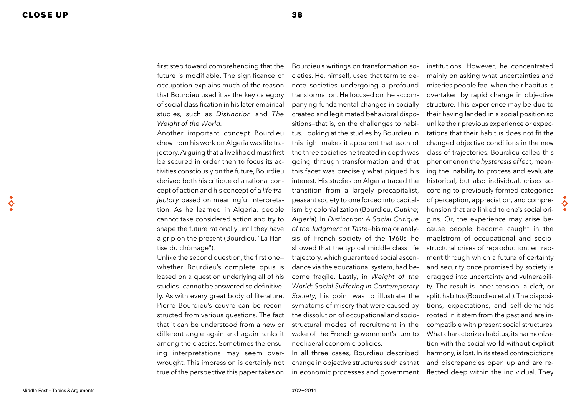♦

first step toward comprehending that the future is modifiable. The significance of occupation explains much of the reason that Bourdieu used it as the key category of social classification in his later empirical studies, such as *Distinction* and *The Weight of the World*.

Another important concept Bourdieu drew from his work on Algeria was life trajectory. Arguing that a livelihood must first be secured in order then to focus its activities consciously on the future, Bourdieu derived both his critique of a rational concept of action and his concept of a *life trajectory* based on meaningful interpretation. As he learned in Algeria, people cannot take considered action and try to shape the future rationally until they have a grip on the present (Bourdieu, "La Hantise du chômage").

Unlike the second question, the first one whether Bourdieu's complete opus is based on a question underlying all of his studies—cannot be answered so definitively. As with every great body of literature, Pierre Bourdieu's œuvre can be reconstructed from various questions. The fact that it can be understood from a new or different angle again and again ranks it among the classics. Sometimes the ensuing interpretations may seem overwrought. This impression is certainly not true of the perspective this paper takes on

Bourdieu's writings on transformation societies. He, himself, used that term to denote societies undergoing a profound transformation. He focused on the accompanying fundamental changes in socially created and legitimated behavioral dispositions—that is, on the challenges to habitus. Looking at the studies by Bourdieu in this light makes it apparent that each of the three societies he treated in depth was going through transformation and that this facet was precisely what piqued his interest. His studies on Algeria traced the transition from a largely precapitalist, peasant society to one forced into capitalism by colonialization (Bourdieu, *Outline*; *Algeria*). In *Distinction: A Social Critique of the Judgment of Taste*—his major analysis of French society of the 1960s—he showed that the typical middle class life trajectory, which guaranteed social ascendance via the educational system, had become fragile. Lastly, in *Weight of the World: Social Suffering in Contemporary Society*, his point was to illustrate the symptoms of misery that were caused by the dissolution of occupational and sociostructural modes of recruitment in the wake of the French government's turn to neoliberal economic policies.

In all three cases, Bourdieu described change in objective structures such as that in economic processes and government

institutions. However, he concentrated mainly on asking what uncertainties and miseries people feel when their habitus is overtaken by rapid change in objective structure. This experience may be due to their having landed in a social position so unlike their previous experience or expectations that their habitus does not fit the changed objective conditions in the new class of trajectories. Bourdieu called this phenomenon the *hysteresis effect*, meaning the inability to process and evaluate historical, but also individual, crises according to previously formed categories of perception, appreciation, and comprehension that are linked to one's social origins. Or, the experience may arise because people become caught in the maelstrom of occupational and sociostructural crises of reproduction, entrapment through which a future of certainty and security once promised by society is dragged into uncertainty and vulnerability. The result is inner tension—a cleft, or split, habitus (Bourdieu et al.). The dispositions, expectations, and self-demands rooted in it stem from the past and are incompatible with present social structures. What characterizes habitus, its harmonization with the social world without explicit harmony, is lost. In its stead contradictions and discrepancies open up and are reflected deep within the individual. They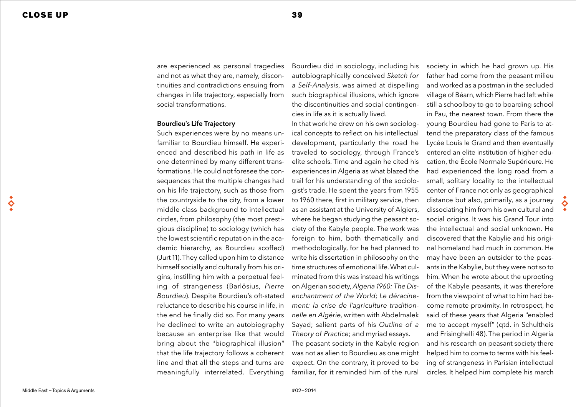$\breve{\mathbf{S}}$ 

are experienced as personal tragedies and not as what they are, namely, discontinuities and contradictions ensuing from changes in life trajectory, especially from social transformations.

#### Bourdieu's Life Trajectory

Such experiences were by no means unfamiliar to Bourdieu himself. He experienced and described his path in life as one determined by many different transformations. He could not foresee the consequences that the multiple changes had on his life trajectory, such as those from the countryside to the city, from a lower middle class background to intellectual circles, from philosophy (the most prestigious discipline) to sociology (which has the lowest scientific reputation in the academic hierarchy, as Bourdieu scoffed) (Jurt 11). They called upon him to distance himself socially and culturally from his origins, instilling him with a perpetual feeling of strangeness (Barlösius, *Pierre Bourdieu*). Despite Bourdieu's oft-stated reluctance to describe his course in life, in the end he finally did so. For many years he declined to write an autobiography because an enterprise like that would bring about the "biographical illusion" that the life trajectory follows a coherent line and that all the steps and turns are meaningfully interrelated. Everything

Bourdieu did in sociology, including his autobiographically conceived *Sketch for a Self-Analysis*, was aimed at dispelling such biographical illusions, which ignore the discontinuities and social contingencies in life as it is actually lived.

In that work he drew on his own sociological concepts to reflect on his intellectual development, particularly the road he traveled to sociology, through France's elite schools. Time and again he cited his experiences in Algeria as what blazed the trail for his understanding of the sociologist's trade. He spent the years from 1955 to 1960 there, first in military service, then as an assistant at the University of Algiers, where he began studying the peasant society of the Kabyle people. The work was foreign to him, both thematically and methodologically, for he had planned to write his dissertation in philosophy on the time structures of emotional life. What culminated from this was instead his writings on Algerian society, *Algeria 1960: The Disenchantment of the World*; *Le déracinement: la crise de l'agriculture traditionnelle en Algérie*, written with Abdelmalek Sayad; salient parts of his *Outline of a Theory of Practice*; and myriad essays. The peasant society in the Kabyle region

was not as alien to Bourdieu as one might expect. On the contrary, it proved to be familiar, for it reminded him of the rural society in which he had grown up. His father had come from the peasant milieu and worked as a postman in the secluded village of Béarn, which Pierre had left while still a schoolboy to go to boarding school in Pau, the nearest town. From there the young Bourdieu had gone to Paris to attend the preparatory class of the famous Lycée Louis le Grand and then eventually entered an elite institution of higher education, the École Normale Supérieure. He had experienced the long road from a small, solitary locality to the intellectual center of France not only as geographical distance but also, primarily, as a journey dissociating him from his own cultural and social origins. It was his Grand Tour into the intellectual and social unknown. He discovered that the Kabylie and his original homeland had much in common. He may have been an outsider to the peasants in the Kabylie, but they were not so to him. When he wrote about the uprooting of the Kabyle peasants, it was therefore from the viewpoint of what to him had become remote proximity. In retrospect, he said of these years that Algeria "enabled me to accept myself" (qtd. in Schultheis and Frisinghelli 48). The period in Algeria and his research on peasant society there helped him to come to terms with his feeling of strangeness in Parisian intellectual circles. It helped him complete his march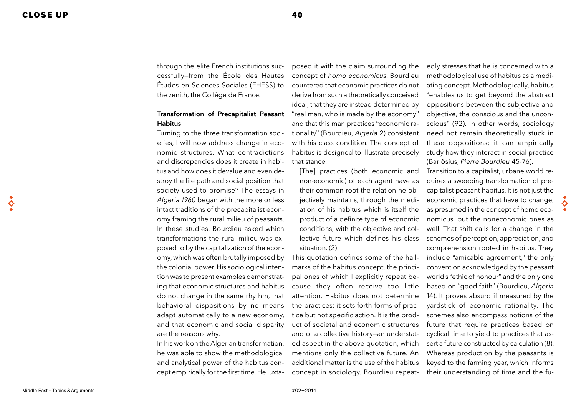through the elite French institutions successfully—from the École des Hautes Études en Sciences Sociales (EHESS) to the zenith, the Collège de France.

## Transformation of Precapitalist Peasant **Habitus**

Turning to the three transformation societies, I will now address change in economic structures. What contradictions and discrepancies does it create in habitus and how does it devalue and even destroy the life path and social position that society used to promise? The essays in *Algeria 1960* began with the more or less intact traditions of the precapitalist economy framing the rural milieu of peasants. In these studies, Bourdieu asked which transformations the rural milieu was exposed to by the capitalization of the economy, which was often brutally imposed by the colonial power. His sociological intention was to present examples demonstrating that economic structures and habitus do not change in the same rhythm, that behavioral dispositions by no means adapt automatically to a new economy, and that economic and social disparity are the reasons why.

In his work on the Algerian transformation, he was able to show the methodological and analytical power of the habitus concept empirically for the first time. He juxta-

posed it with the claim surrounding the concept of *homo economicus*. Bourdieu countered that economic practices do not derive from such a theoretically conceived ideal, that they are instead determined by "real man, who is made by the economy" and that this man practices "economic rationality" (Bourdieu, *Algeria* 2) consistent with his class condition. The concept of habitus is designed to illustrate precisely that stance.

[The] practices (both economic and non-economic) of each agent have as their common root the relation he objectively maintains, through the mediation of his habitus which is itself the product of a definite type of economic conditions, with the objective and collective future which defines his class situation. (2)

This quotation defines some of the hallmarks of the habitus concept, the principal ones of which I explicitly repeat because they often receive too little attention. Habitus does not determine the practices; it sets forth forms of practice but not specific action. It is the product of societal and economic structures and of a collective history—an understated aspect in the above quotation, which mentions only the collective future. An additional matter is the use of the habitus concept in sociology. Bourdieu repeat-

edly stresses that he is concerned with a methodological use of habitus as a mediating concept. Methodologically, habitus "enables us to get beyond the abstract oppositions between the subjective and objective, the conscious and the unconscious" (92). In other words, sociology need not remain theoretically stuck in these oppositions; it can empirically study how they interact in social practice (Barlösius, *Pierre Bourdieu* 45-76).

Transition to a capitalist, urbane world requires a sweeping transformation of precapitalist peasant habitus. It is not just the economic practices that have to change, as presumed in the concept of homo economicus, but the noneconomic ones as well. That shift calls for a change in the schemes of perception, appreciation, and comprehension rooted in habitus. They include "amicable agreement," the only convention acknowledged by the peasant world's "ethic of honour" and the only one based on "good faith" (Bourdieu, *Algeria* 14). It proves absurd if measured by the yardstick of economic rationality. The schemes also encompass notions of the future that require practices based on cyclical time to yield to practices that assert a future constructed by calculation (8). Whereas production by the peasants is keyed to the farming year, which informs their understanding of time and the fu-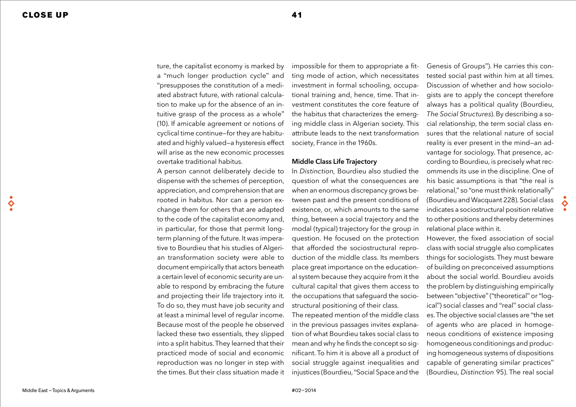ture, the capitalist economy is marked by a "much longer production cycle" and "presupposes the constitution of a mediated abstract future, with rational calculation to make up for the absence of an intuitive grasp of the process as a whole" (10). If amicable agreement or notions of cyclical time continue—for they are habituated and highly valued—a hysteresis effect will arise as the new economic processes overtake traditional habitus.

A person cannot deliberately decide to dispense with the schemes of perception, appreciation, and comprehension that are rooted in habitus. Nor can a person exchange them for others that are adapted to the code of the capitalist economy and, in particular, for those that permit longterm planning of the future. It was imperative to Bourdieu that his studies of Algerian transformation society were able to document empirically that actors beneath a certain level of economic security are unable to respond by embracing the future and projecting their life trajectory into it. To do so, they must have job security and at least a minimal level of regular income. Because most of the people he observed lacked these two essentials, they slipped into a split habitus. They learned that their practiced mode of social and economic reproduction was no longer in step with the times. But their class situation made it

impossible for them to appropriate a fitting mode of action, which necessitates investment in formal schooling, occupational training and, hence, time. That investment constitutes the core feature of the habitus that characterizes the emerging middle class in Algerian society. This attribute leads to the next transformation society, France in the 1960s.

#### Middle Class Life Trajectory

In *Distinction,* Bourdieu also studied the question of what the consequences are when an enormous discrepancy grows between past and the present conditions of existence, or, which amounts to the same thing, between a social trajectory and the modal (typical) trajectory for the group in question. He focused on the protection that afforded the sociostructural reproduction of the middle class. Its members place great importance on the educational system because they acquire from it the cultural capital that gives them access to the occupations that safeguard the sociostructural positioning of their class.

The repeated mention of the middle class in the previous passages invites explanation of what Bourdieu takes social class to mean and why he finds the concept so significant. To him it is above all a product of social struggle against inequalities and injustices (Bourdieu, "Social Space and the

Genesis of Groups"). He carries this contested social past within him at all times. Discussion of whether and how sociologists are to apply the concept therefore always has a political quality (Bourdieu, *The Social Structures*). By describing a social relationship, the term social class ensures that the relational nature of social reality is ever present in the mind—an advantage for sociology. That presence, according to Bourdieu, is precisely what recommends its use in the discipline. One of his basic assumptions is that "the real is relational," so "one must think relationally" (Bourdieu and Wacquant 228). Social class indicates a sociostructural position relative to other positions and thereby determines relational place within it.

However, the fixed association of social class with social struggle also complicates things for sociologists. They must beware of building on preconceived assumptions about the social world. Bourdieu avoids the problem by distinguishing empirically between "objective" ("theoretical" or "logical") social classes and "real" social classes. The objective social classes are "the set of agents who are placed in homogeneous conditions of existence imposing homogeneous conditionings and producing homogeneous systems of dispositions capable of generating similar practices" (Bourdieu, *Distinction* 95). The real social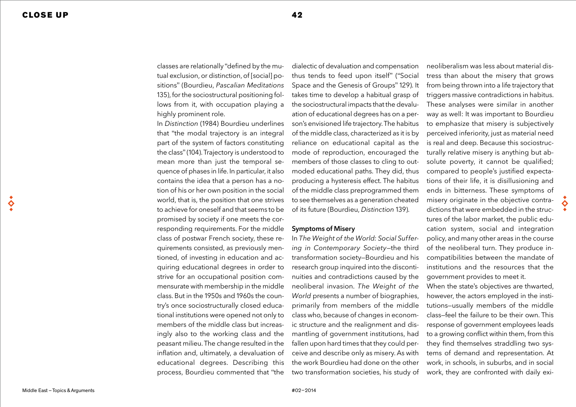classes are relationally "defined by the mutual exclusion, or distinction, of [social] positions" (Bourdieu, *Pascalian Meditations* 135), for the sociostructural positioning follows from it, with occupation playing a highly prominent role.

In *Distinction* (1984) Bourdieu underlines that "the modal trajectory is an integral part of the system of factors constituting the class" (104). Trajectory is understood to mean more than just the temporal sequence of phases in life. In particular, it also contains the idea that a person has a notion of his or her own position in the social world, that is, the position that one strives to achieve for oneself and that seems to be promised by society if one meets the corresponding requirements. For the middle class of postwar French society, these requirements consisted, as previously mentioned, of investing in education and acquiring educational degrees in order to strive for an occupational position commensurate with membership in the middle class. But in the 1950s and 1960s the country's once sociostructurally closed educational institutions were opened not only to members of the middle class but increasingly also to the working class and the peasant milieu. The change resulted in the inflation and, ultimately, a devaluation of educational degrees. Describing this process, Bourdieu commented that "the

dialectic of devaluation and compensation thus tends to feed upon itself" ("Social Space and the Genesis of Groups" 129). It takes time to develop a habitual grasp of the sociostructural impacts that the devaluation of educational degrees has on a person's envisioned life trajectory. The habitus of the middle class, characterized as it is by reliance on educational capital as the mode of reproduction, encouraged the members of those classes to cling to outmoded educational paths. They did, thus producing a hysteresis effect. The habitus of the middle class preprogrammed them to see themselves as a generation cheated of its future (Bourdieu, *Distinction* 139).

#### Symptoms of Misery

In *The Weight of the World: Social Suffering in Contemporary Society*—the third transformation society—Bourdieu and his research group inquired into the discontinuities and contradictions caused by the neoliberal invasion. *The Weight of the World* presents a number of biographies, primarily from members of the middle class who, because of changes in economic structure and the realignment and dismantling of government institutions, had fallen upon hard times that they could perceive and describe only as misery. As with the work Bourdieu had done on the other two transformation societies, his study of

neoliberalism was less about material distress than about the misery that grows from being thrown into a life trajectory that triggers massive contradictions in habitus. These analyses were similar in another way as well: It was important to Bourdieu to emphasize that misery is subjectively perceived inferiority, just as material need is real and deep. Because this sociostructurally relative misery is anything but absolute poverty, it cannot be qualified; compared to people's justified expectations of their life, it is disillusioning and ends in bitterness. These symptoms of misery originate in the objective contradictions that were embedded in the structures of the labor market, the public education system, social and integration policy, and many other areas in the course of the neoliberal turn. They produce incompatibilities between the mandate of institutions and the resources that the government provides to meet it. When the state's objectives are thwarted,

however, the actors employed in the institutions—usually members of the middle class—feel the failure to be their own. This response of government employees leads to a growing conflict within them, from this they find themselves straddling two systems of demand and representation. At work, in schools, in suburbs, and in social work, they are confronted with daily exi-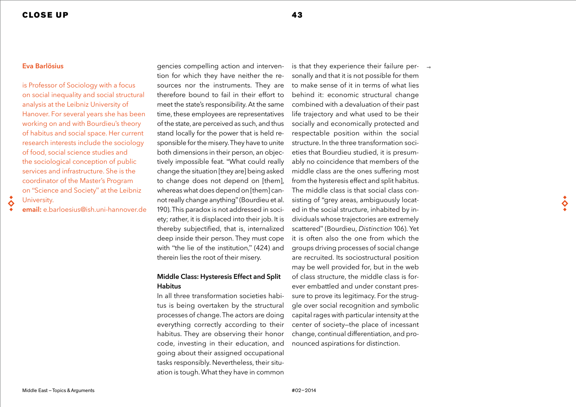#### Eva Barlösius

 $\Diamond$ 

is Professor of Sociology with a focus on social inequality and social structural analysis at the Leibniz University of Hanover. For several years she has been working on and with Bourdieu's theory of habitus and social space. Her current research interests include the sociology of food, social science studies and the sociological conception of public services and infrastructure. She is the coordinator of the Master's Program on "Science and Society" at the Leibniz University.

email: e.barloesius@ish.uni-hannover.de

gencies compelling action and intervention for which they have neither the resources nor the instruments. They are therefore bound to fail in their effort to meet the state's responsibility. At the same time, these employees are representatives of the state, are perceived as such, and thus stand locally for the power that is held responsible for the misery. They have to unite both dimensions in their person, an objectively impossible feat. "What could really change the situation [they are] being asked to change does not depend on [them], whereas what does depend on [them] cannot really change anything" (Bourdieu et al. 190). This paradox is not addressed in society; rather, it is displaced into their job. It is thereby subjectified, that is, internalized deep inside their person. They must cope with "the lie of the institution," (424) and therein lies the root of their misery.

# Middle Class: Hysteresis Effect and Split Habitus

In all three transformation societies habitus is being overtaken by the structural processes of change. The actors are doing everything correctly according to their habitus. They are observing their honor code, investing in their education, and going about their assigned occupational tasks responsibly. Nevertheless, their situation is tough. What they have in common

is that they experience their failure per-  $\rightarrow$ sonally and that it is not possible for them to make sense of it in terms of what lies behind it: economic structural change combined with a devaluation of their past life trajectory and what used to be their socially and economically protected and respectable position within the social structure. In the three transformation societies that Bourdieu studied, it is presumably no coincidence that members of the middle class are the ones suffering most from the hysteresis effect and split habitus. The middle class is that social class consisting of "grey areas, ambiguously located in the social structure, inhabited by individuals whose trajectories are extremely scattered" (Bourdieu, *Distinction* 106). Yet it is often also the one from which the groups driving processes of social change are recruited. Its sociostructural position may be well provided for, but in the web of class structure, the middle class is forever embattled and under constant pressure to prove its legitimacy. For the struggle over social recognition and symbolic capital rages with particular intensity at the center of society—the place of incessant change, continual differentiation, and pronounced aspirations for distinction.